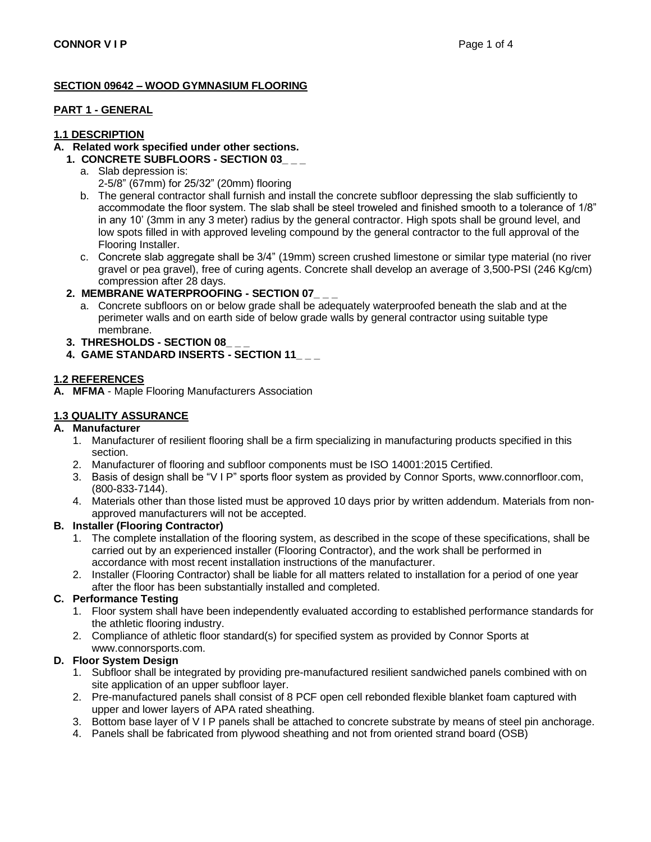### **SECTION 09642 – WOOD GYMNASIUM FLOORING**

#### **PART 1 - GENERAL**

#### **1.1 DESCRIPTION**

## **A. Related work specified under other sections.**

- **1. CONCRETE SUBFLOORS - SECTION 03\_ \_ \_**
	- a. Slab depression is: 2-5/8" (67mm) for 25/32" (20mm) flooring
	- b. The general contractor shall furnish and install the concrete subfloor depressing the slab sufficiently to accommodate the floor system. The slab shall be steel troweled and finished smooth to a tolerance of 1/8" in any 10' (3mm in any 3 meter) radius by the general contractor. High spots shall be ground level, and low spots filled in with approved leveling compound by the general contractor to the full approval of the Flooring Installer.
	- c. Concrete slab aggregate shall be 3/4" (19mm) screen crushed limestone or similar type material (no river gravel or pea gravel), free of curing agents. Concrete shall develop an average of 3,500-PSI (246 Kg/cm) compression after 28 days.

### **2. MEMBRANE WATERPROOFING - SECTION 07\_ \_ \_**

- a. Concrete subfloors on or below grade shall be adequately waterproofed beneath the slab and at the perimeter walls and on earth side of below grade walls by general contractor using suitable type membrane.
- **3. THRESHOLDS - SECTION 08\_ \_ \_**
- **4. GAME STANDARD INSERTS - SECTION 11\_ \_ \_**

### **1.2 REFERENCES**

**A. MFMA** - Maple Flooring Manufacturers Association

### **1.3 QUALITY ASSURANCE**

### **A. Manufacturer**

- 1. Manufacturer of resilient flooring shall be a firm specializing in manufacturing products specified in this section.
- 2. Manufacturer of flooring and subfloor components must be ISO 14001:2015 Certified.
- 3. Basis of design shall be "V I P" sports floor system as provided by Connor Sports, www.connorfloor.com, (800-833-7144).
- 4. Materials other than those listed must be approved 10 days prior by written addendum. Materials from nonapproved manufacturers will not be accepted.

#### **B. Installer (Flooring Contractor)**

- 1. The complete installation of the flooring system, as described in the scope of these specifications, shall be carried out by an experienced installer (Flooring Contractor), and the work shall be performed in accordance with most recent installation instructions of the manufacturer.
- 2. Installer (Flooring Contractor) shall be liable for all matters related to installation for a period of one year after the floor has been substantially installed and completed.

### **C. Performance Testing**

- 1. Floor system shall have been independently evaluated according to established performance standards for the athletic flooring industry.
- 2. Compliance of athletic floor standard(s) for specified system as provided by Connor Sports at www.connorsports.com.

#### **D. Floor System Design**

- 1. Subfloor shall be integrated by providing pre-manufactured resilient sandwiched panels combined with on site application of an upper subfloor layer.
- 2. Pre-manufactured panels shall consist of 8 PCF open cell rebonded flexible blanket foam captured with upper and lower layers of APA rated sheathing.
- 3. Bottom base layer of V I P panels shall be attached to concrete substrate by means of steel pin anchorage.
- 4. Panels shall be fabricated from plywood sheathing and not from oriented strand board (OSB)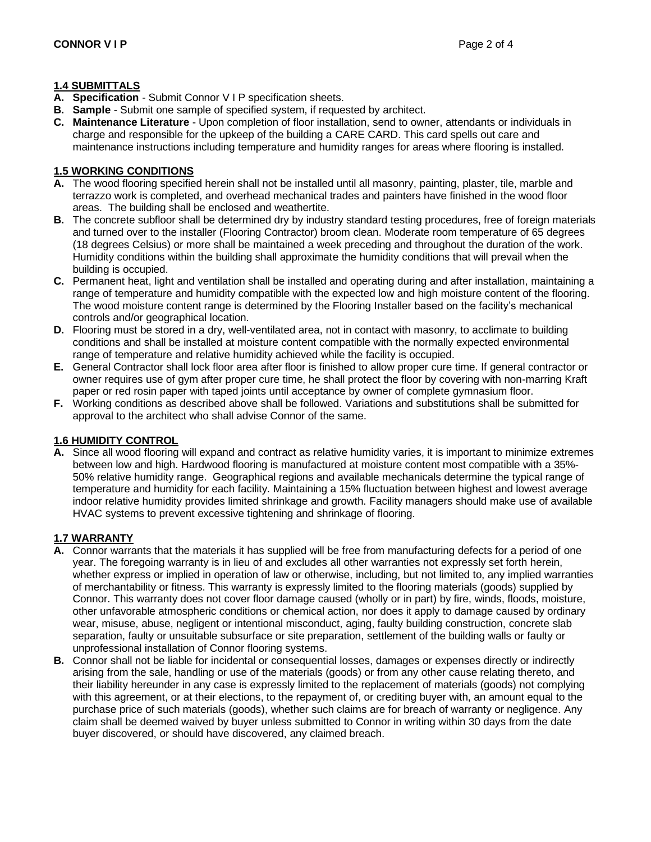#### **1.4 SUBMITTALS**

- **A. Specification**  Submit Connor V I P specification sheets.
- **B. Sample**  Submit one sample of specified system, if requested by architect.
- **C. Maintenance Literature**  Upon completion of floor installation, send to owner, attendants or individuals in charge and responsible for the upkeep of the building a CARE CARD. This card spells out care and maintenance instructions including temperature and humidity ranges for areas where flooring is installed.

#### **1.5 WORKING CONDITIONS**

- **A.** The wood flooring specified herein shall not be installed until all masonry, painting, plaster, tile, marble and terrazzo work is completed, and overhead mechanical trades and painters have finished in the wood floor areas. The building shall be enclosed and weathertite.
- **B.** The concrete subfloor shall be determined dry by industry standard testing procedures, free of foreign materials and turned over to the installer (Flooring Contractor) broom clean. Moderate room temperature of 65 degrees (18 degrees Celsius) or more shall be maintained a week preceding and throughout the duration of the work. Humidity conditions within the building shall approximate the humidity conditions that will prevail when the building is occupied.
- **C.** Permanent heat, light and ventilation shall be installed and operating during and after installation, maintaining a range of temperature and humidity compatible with the expected low and high moisture content of the flooring. The wood moisture content range is determined by the Flooring Installer based on the facility's mechanical controls and/or geographical location.
- **D.** Flooring must be stored in a dry, well-ventilated area, not in contact with masonry, to acclimate to building conditions and shall be installed at moisture content compatible with the normally expected environmental range of temperature and relative humidity achieved while the facility is occupied.
- **E.** General Contractor shall lock floor area after floor is finished to allow proper cure time. If general contractor or owner requires use of gym after proper cure time, he shall protect the floor by covering with non-marring Kraft paper or red rosin paper with taped joints until acceptance by owner of complete gymnasium floor.
- **F.** Working conditions as described above shall be followed. Variations and substitutions shall be submitted for approval to the architect who shall advise Connor of the same.

#### **1.6 HUMIDITY CONTROL**

**A.** Since all wood flooring will expand and contract as relative humidity varies, it is important to minimize extremes between low and high. Hardwood flooring is manufactured at moisture content most compatible with a 35%- 50% relative humidity range. Geographical regions and available mechanicals determine the typical range of temperature and humidity for each facility. Maintaining a 15% fluctuation between highest and lowest average indoor relative humidity provides limited shrinkage and growth. Facility managers should make use of available HVAC systems to prevent excessive tightening and shrinkage of flooring.

#### **1.7 WARRANTY**

- **A.** Connor warrants that the materials it has supplied will be free from manufacturing defects for a period of one year. The foregoing warranty is in lieu of and excludes all other warranties not expressly set forth herein, whether express or implied in operation of law or otherwise, including, but not limited to, any implied warranties of merchantability or fitness. This warranty is expressly limited to the flooring materials (goods) supplied by Connor. This warranty does not cover floor damage caused (wholly or in part) by fire, winds, floods, moisture, other unfavorable atmospheric conditions or chemical action, nor does it apply to damage caused by ordinary wear, misuse, abuse, negligent or intentional misconduct, aging, faulty building construction, concrete slab separation, faulty or unsuitable subsurface or site preparation, settlement of the building walls or faulty or unprofessional installation of Connor flooring systems.
- **B.** Connor shall not be liable for incidental or consequential losses, damages or expenses directly or indirectly arising from the sale, handling or use of the materials (goods) or from any other cause relating thereto, and their liability hereunder in any case is expressly limited to the replacement of materials (goods) not complying with this agreement, or at their elections, to the repayment of, or crediting buyer with, an amount equal to the purchase price of such materials (goods), whether such claims are for breach of warranty or negligence. Any claim shall be deemed waived by buyer unless submitted to Connor in writing within 30 days from the date buyer discovered, or should have discovered, any claimed breach.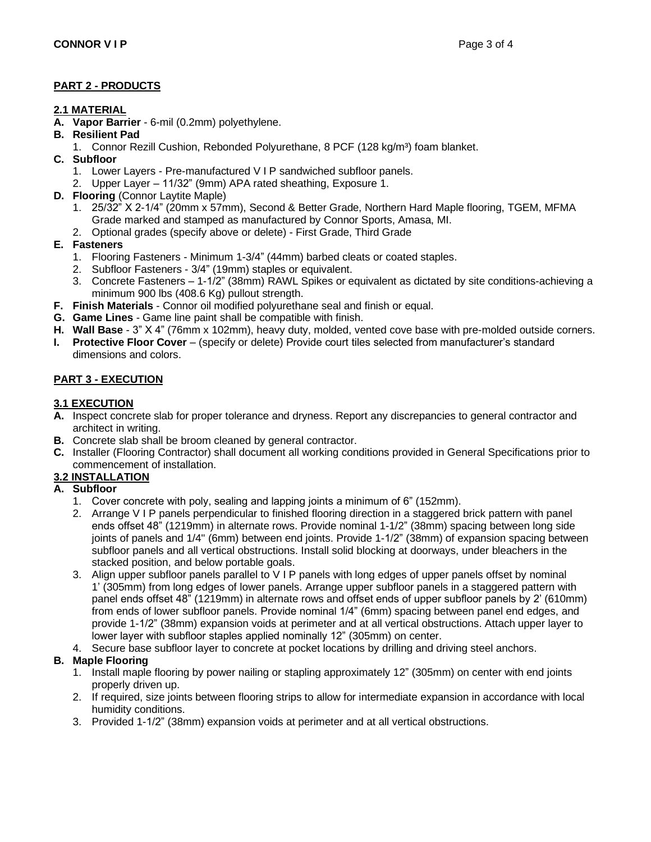### **PART 2 - PRODUCTS**

### **2.1 MATERIAL**

- **A. Vapor Barrier**  6-mil (0.2mm) polyethylene.
- **B. Resilient Pad**
	- 1. Connor Rezill Cushion, Rebonded Polyurethane, 8 PCF (128 kg/m<sup>3</sup>) foam blanket.
- **C. Subfloor**
	- 1. Lower Layers Pre-manufactured V I P sandwiched subfloor panels.
	- 2. Upper Layer 11/32" (9mm) APA rated sheathing, Exposure 1.
- **D. Flooring** (Connor Laytite Maple)
	- 1. 25/32" X 2-1/4" (20mm x 57mm), Second & Better Grade, Northern Hard Maple flooring, TGEM, MFMA Grade marked and stamped as manufactured by Connor Sports, Amasa, MI.
	- 2. Optional grades (specify above or delete) First Grade, Third Grade

## **E. Fasteners**

- 1. Flooring Fasteners Minimum 1-3/4" (44mm) barbed cleats or coated staples.
- 2. Subfloor Fasteners 3/4" (19mm) staples or equivalent.
- 3. Concrete Fasteners 1-1/2" (38mm) RAWL Spikes or equivalent as dictated by site conditions-achieving a minimum 900 lbs (408.6 Kg) pullout strength.
- **F. Finish Materials**  Connor oil modified polyurethane seal and finish or equal.
- **G. Game Lines**  Game line paint shall be compatible with finish.
- **H. Wall Base**  3" X 4" (76mm x 102mm), heavy duty, molded, vented cove base with pre-molded outside corners.
- **I. Protective Floor Cover** (specify or delete) Provide court tiles selected from manufacturer's standard dimensions and colors.

# **PART 3 - EXECUTION**

### **3.1 EXECUTION**

- **A.** Inspect concrete slab for proper tolerance and dryness. Report any discrepancies to general contractor and architect in writing.
- **B.** Concrete slab shall be broom cleaned by general contractor.
- **C.** Installer (Flooring Contractor) shall document all working conditions provided in General Specifications prior to commencement of installation.

# **3.2 INSTALLATION**

- **A. Subfloor**
	- 1. Cover concrete with poly, sealing and lapping joints a minimum of 6" (152mm).
	- 2. Arrange V I P panels perpendicular to finished flooring direction in a staggered brick pattern with panel ends offset 48" (1219mm) in alternate rows. Provide nominal 1-1/2" (38mm) spacing between long side joints of panels and 1/4" (6mm) between end joints. Provide 1-1/2" (38mm) of expansion spacing between subfloor panels and all vertical obstructions. Install solid blocking at doorways, under bleachers in the stacked position, and below portable goals.
	- 3. Align upper subfloor panels parallel to V I P panels with long edges of upper panels offset by nominal 1' (305mm) from long edges of lower panels. Arrange upper subfloor panels in a staggered pattern with panel ends offset 48" (1219mm) in alternate rows and offset ends of upper subfloor panels by 2' (610mm) from ends of lower subfloor panels. Provide nominal 1/4" (6mm) spacing between panel end edges, and provide 1-1/2" (38mm) expansion voids at perimeter and at all vertical obstructions. Attach upper layer to lower layer with subfloor staples applied nominally 12" (305mm) on center.
	- 4. Secure base subfloor layer to concrete at pocket locations by drilling and driving steel anchors.

# **B. Maple Flooring**

- 1. Install maple flooring by power nailing or stapling approximately 12" (305mm) on center with end joints properly driven up.
- 2. If required, size joints between flooring strips to allow for intermediate expansion in accordance with local humidity conditions.
- 3. Provided 1-1/2" (38mm) expansion voids at perimeter and at all vertical obstructions.